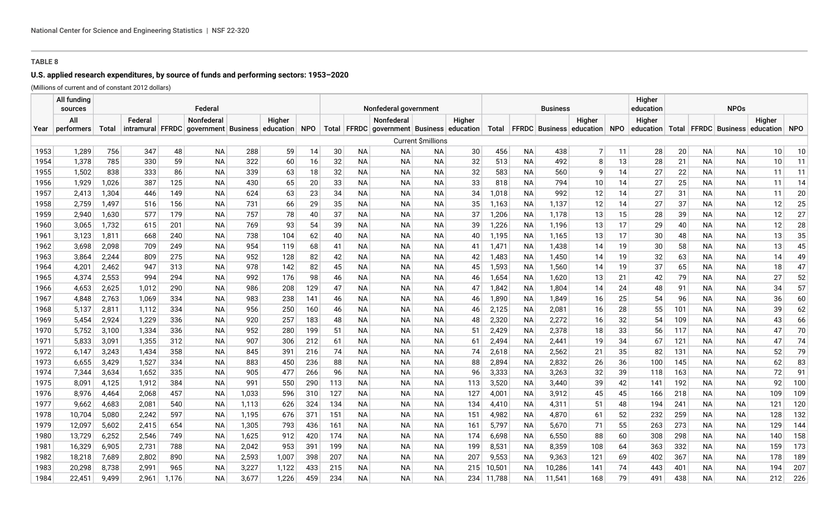# **U.S. applied research expenditures, by source of funds and performing sectors: 1953–2020**

(Millions of current and of constant 2012 dollars)

|              | All funding<br>sources |                |                |            | Federal                                            |            |            |            | Nonfederal government |                        |                                           |                    |          |                |           | <b>Business</b> |                                     |          | Higher<br>education | <b>NPOs</b> |                        |                        |                                            |          |  |
|--------------|------------------------|----------------|----------------|------------|----------------------------------------------------|------------|------------|------------|-----------------------|------------------------|-------------------------------------------|--------------------|----------|----------------|-----------|-----------------|-------------------------------------|----------|---------------------|-------------|------------------------|------------------------|--------------------------------------------|----------|--|
|              | All                    |                | Federal        |            | Nonfederal                                         |            | Higher     |            |                       |                        | Nonfederal                                |                    | Higher   |                |           |                 | Higher                              |          | Higher              |             |                        |                        | Higher                                     |          |  |
| Year         | performers             | Total          |                |            | intramural FFRDC government Business education NPO |            |            |            |                       |                        | Total FFRDC government Business education |                    |          | Total          |           |                 | <b>FFRDC</b> Business education NPO |          | education           |             |                        |                        | Total   FFRDC   Business   education   NPO |          |  |
|              |                        |                |                |            |                                                    |            |            |            |                       |                        |                                           | Current \$millions |          |                |           |                 |                                     |          |                     |             |                        |                        |                                            |          |  |
| 1953         | 1,289                  | 756            | 347            | 48         | <b>NA</b>                                          | 288        | 59         | 14         | 30                    | <b>NA</b>              | <b>NA</b>                                 | NА                 | 30       | 456            | <b>NA</b> | 438             | 7 <sup>1</sup>                      | 11       | 28                  | 20          | <b>NA</b>              | <b>NA</b>              | 10                                         | 10       |  |
| 1954         | 1,378                  | 785            | 330            | 59         | NA                                                 | 322        | 60         | 16         | 32                    | <b>NA</b>              | <b>NA</b>                                 | NA                 | 32       | 513            | <b>NA</b> | 492             | 8                                   | 13       | 28                  | 21          | <b>NA</b>              | <b>NA</b>              | 10                                         | 11       |  |
| 1955         | 1,502                  | 838            | 333            | 86         | NA                                                 | 339        | 63         | 18         | 32                    | <b>NA</b>              | <b>NA</b>                                 | NA                 | 32       | 583            | <b>NA</b> | 560             | 9                                   | 14       | 27                  | 22          | <b>NA</b>              | <b>NA</b>              | 11                                         | 11       |  |
| 1956         | 1,929                  | 1,026          | 387            | 125        | <b>NA</b>                                          | 430        | 65         | 20         | 33                    | <b>NA</b>              | NA                                        | ΝA                 | 33       | 818            | <b>NA</b> | 794             | 10 <sup>°</sup>                     | 14       | 27                  | 25          | <b>NA</b>              | ΝA                     | 11                                         | 14       |  |
| 1957         | 2,413                  | 1,304          | 446            | 149        | NA                                                 | 624        | 63         | 23         | 34                    | <b>NA</b>              | <b>NA</b>                                 | NA                 | 34       | 1,018          | <b>NA</b> | 992             | 12                                  | 14       | 27                  | 31          | <b>NA</b>              | <b>NA</b>              | 11                                         | 20       |  |
| 1958         | 2.759                  | 1,497          | 516            | 156        | NA                                                 | 731        | 66         | 29         | 35                    | <b>NA</b>              | <b>NA</b>                                 | <b>NA</b>          | 35       | 1,163          | <b>NA</b> | 1,137           | 12                                  | 14       | 27                  | 37          | <b>NA</b>              | <b>NA</b>              | 12                                         | 25       |  |
| 1959         | 2.940                  | 1,630          | 577            | 179        | NA                                                 | 757        | 78         | 40         | 37                    | <b>NA</b>              | <b>NA</b>                                 | <b>NA</b>          | 37       | 1,206          | <b>NA</b> | 1,178           | 13                                  | 15       | 28                  | 39          | <b>NA</b>              | <b>NA</b>              | 12                                         | 27       |  |
| 1960         | 3,065                  | 1,732          | 615            | 201        | NA                                                 | 769        | 93         | 54         | 39                    | <b>NA</b>              | <b>NA</b>                                 | <b>NA</b>          | 39       | 1,226          | <b>NA</b> | 1,196           | 13                                  | 17       | 29                  | 40          | <b>NA</b>              | <b>NA</b>              | 12                                         | 28       |  |
| 1961         | 3,123                  | 1,811          | 668            | 240        | NA                                                 | 738        | 104        | 62         | 40                    | <b>NA</b>              | <b>NA</b>                                 | <b>NA</b>          | 40       | 1,195          | <b>NA</b> | 1,165           | 13                                  | 17       | 30                  | 48          | <b>NA</b>              | <b>NA</b>              | 13                                         | 35       |  |
| 1962         | 3,698                  | 2,098          | 709            | 249        | NA                                                 | 954        | 119        | 68         | 41                    | <b>NA</b>              | <b>NA</b>                                 | <b>NA</b>          | 41       | 1,471          | <b>NA</b> | 1,438           | 14                                  | 19       | 30                  | 58          | <b>NA</b>              | <b>NA</b>              | 13                                         | 45       |  |
| 1963         | 3.864                  | 2,244          | 809            | 275        | <b>NA</b>                                          | 952        | 128        | 82         | 42                    | <b>NA</b>              | <b>NA</b>                                 | <b>NA</b>          | 42       | 1,483          | <b>NA</b> | 1,450           | 14                                  | 19       | 32                  | 63          | <b>NA</b>              | <b>NA</b>              | 14                                         | 49       |  |
| 1964         | 4.201                  | 2,462          | 947            | 313        | <b>NA</b>                                          | 978        | 142        | 82         | 45                    | <b>NA</b>              | <b>NA</b>                                 | <b>NA</b>          | 45       | 1,593          | <b>NA</b> | 1,560           | 14                                  | 19       | 37                  | 65          | <b>NA</b>              | <b>NA</b>              | 18                                         | 47       |  |
| 1965         | 4.374                  | 2,553          | 994            | 294        | <b>NA</b>                                          | 992        | 176        | 98         | 46                    | <b>NA</b>              | <b>NA</b>                                 | <b>NA</b>          | 46       | 1,654          | <b>NA</b> | 1,620           | 13                                  | 21       | 42                  | 79          | <b>NA</b>              | <b>NA</b>              | 27                                         | 52       |  |
| 1966         | 4,653                  | 2,625          | 1,012          | 290        | <b>NA</b>                                          | 986        | 208        | 129        | 47                    | <b>NA</b>              | <b>NA</b>                                 | <b>NA</b>          | 47       | 1,842          | <b>NA</b> | 1,804           | 14                                  | 24       | 48                  | 91          | <b>NA</b>              | <b>NA</b>              | 34                                         | 57       |  |
| 1967         | 4,848                  | 2,763          | 1,069          | 334        | NA                                                 | 983        | 238        | 141        | 46                    | <b>NA</b>              | <b>NA</b>                                 | <b>NA</b>          | 46       | 1,890          | NА        | 1,849           | 16                                  | 25       | 54                  | 96          | <b>NA</b>              | <b>NA</b>              | 36                                         | 60       |  |
| 1968         | 5,137<br>5,454         | 2,811          | 1,112          | 334        | <b>NA</b>                                          | 956<br>920 | 250        | 160        | 46                    | <b>NA</b><br><b>NA</b> | ΝA<br><b>NA</b>                           | ΝA<br>NA           | 46       | 2,125          | <b>NA</b> | 2,081<br>2,272  | 16                                  | 28       | 55                  | 101         | <b>NA</b><br><b>NA</b> | <b>NA</b><br><b>NA</b> | 39                                         | 62       |  |
| 1969<br>1970 | 5,752                  | 2,924<br>3,100 | 1,229<br>1,334 | 336<br>336 | ΝA<br>ΝA                                           | 952        | 257<br>280 | 183<br>199 | 48<br>51              | <b>NA</b>              | <b>NA</b>                                 | NA                 | 48<br>51 | 2,320<br>2,429 | NА<br>NА  | 2,378           | 16<br>18                            | 32<br>33 | 54<br>56            | 109<br>117  | <b>NA</b>              | <b>NA</b>              | 43<br>47                                   | 66<br>70 |  |
| 1971         | 5,833                  | 3,091          | 1,355          | 312        | NA                                                 | 907        | 306        | 212        | 61                    | <b>NA</b>              | <b>NA</b>                                 | <b>NA</b>          | 61       | 2,494          | <b>NA</b> | 2,441           | 19                                  | 34       | 67                  | 121         | <b>NA</b>              | <b>NA</b>              | 47                                         | 74       |  |
| 1972         | 6,147                  | 3,243          | 1,434          | 358        | NA                                                 | 845        | 391        | 216        | 74                    | <b>NA</b>              | <b>NA</b>                                 | <b>NA</b>          | 74       | 2,618          | <b>NA</b> | 2,562           | 21                                  | 35       | 82                  | 131         | <b>NA</b>              | <b>NA</b>              | 52                                         | 79       |  |
| 1973         | 6,655                  | 3,429          | 1,527          | 334        | NA                                                 | 883        | 450        | 236        | 88                    | <b>NA</b>              | <b>NA</b>                                 | <b>NA</b>          | 88       | 2,894          | <b>NA</b> | 2,832           | 26                                  | 36       | 100                 | 145         | <b>NA</b>              | <b>NA</b>              | 62                                         | 83       |  |
| 1974         | 7,344                  | 3,634          | 1,652          | 335        | NA                                                 | 905        | 477        | 266        | 96                    | <b>NA</b>              | <b>NA</b>                                 | <b>NA</b>          | 96       | 3,333          | <b>NA</b> | 3,263           | 32                                  | 39       | 118                 | 163         | <b>NA</b>              | <b>NA</b>              | 72                                         | 91       |  |
| 1975         | 8.091                  | 4,125          | 1,912          | 384        | <b>NA</b>                                          | 991        | 550        | 290        | 113                   | <b>NA</b>              | <b>NA</b>                                 | <b>NA</b>          | 113      | 3,520          | <b>NA</b> | 3,440           | 39                                  | 42       | 141                 | 192         | <b>NA</b>              | <b>NA</b>              | 92                                         | 100      |  |
| 1976         | 8,976                  | 4,464          | 2,068          | 457        | NA                                                 | 1,033      | 596        | 310        | 127                   | <b>NA</b>              | <b>NA</b>                                 | <b>NA</b>          | 127      | 4,001          | <b>NA</b> | 3,912           | 45                                  | 45       | 166                 | 218         | <b>NA</b>              | <b>NA</b>              | 109                                        | 109      |  |
| 1977         | 9.662                  | 4,683          | 2,081          | 540        | <b>NA</b>                                          | 1,113      | 626        | 324        | 134                   | <b>NA</b>              | <b>NA</b>                                 | <b>NA</b>          | 134      | 4,410          | <b>NA</b> | 4,311           | 51                                  | 48       | 194                 | 241         | <b>NA</b>              | <b>NA</b>              | 121                                        | 120      |  |
| 1978         | 10,704                 | 5,080          | 2,242          | 597        | NA                                                 | 1,195      | 676        | 371        | 151                   | <b>NA</b>              | <b>NA</b>                                 | <b>NA</b>          | 151      | 4,982          | <b>NA</b> | 4,870           | 61                                  | 52       | 232                 | 259         | <b>NA</b>              | <b>NA</b>              | 128                                        | 132      |  |
| 1979         | 12,097                 | 5,602          | 2,415          | 654        | <b>NA</b>                                          | 1,305      | 793        | 436        | 161                   | <b>NA</b>              | <b>NA</b>                                 | <b>NA</b>          | 161      | 5,797          | <b>NA</b> | 5,670           | 71                                  | 55       | 263                 | 273         | <b>NA</b>              | <b>NA</b>              | 129                                        | 144      |  |
| 1980         | 13,729                 | 6,252          | 2,546          | 749        | ΝA                                                 | 1,625      | 912        | 420        | 174                   | <b>NA</b>              | <b>NA</b>                                 | <b>NA</b>          | 174      | 6,698          | <b>NA</b> | 6,550           | 88                                  | 60       | 308                 | 298         | <b>NA</b>              | <b>NA</b>              | 140                                        | 158      |  |
| 1981         | 16,329                 | 6,905          | 2,731          | 788        | ΝA                                                 | 2,042      | 953        | 391        | 199                   | <b>NA</b>              | <b>NA</b>                                 | <b>NA</b>          | 199      | 8,531          | <b>NA</b> | 8,359           | 108                                 | 64       | 363                 | 332         | <b>NA</b>              | <b>NA</b>              | 159                                        | 173      |  |
| 1982         | 18,218                 | 7,689          | 2,802          | 890        | ΝA                                                 | 2,593      | 1,007      | 398        | 207                   | <b>NA</b>              | <b>NA</b>                                 | <b>NA</b>          | 207      | 9,553          | <b>NA</b> | 9,363           | 121                                 | 69       | 402                 | 367         | <b>NA</b>              | <b>NA</b>              | 178                                        | 189      |  |
| 1983         | 20,298                 | 8,738          | 2.991          | 965        | ΝA                                                 | 3,227      | 1,122      | 433        | 215                   | <b>NA</b>              | <b>NA</b>                                 | <b>NA</b>          | 215      | 10,501         | <b>NA</b> | 10,286          | 141                                 | 74       | 443                 | 401         | <b>NA</b>              | <b>NA</b>              | 194                                        | 207      |  |
| 1984         | 22,451                 | 9,499          | 2,961          | 1,176      | <b>NA</b>                                          | 3,677      | 1,226      | 459        | 234                   | <b>NA</b>              | <b>NA</b>                                 | <b>NA</b>          |          | 234 11,788     | <b>NA</b> | 11,541          | 168                                 | 79       | 491                 | 438         | <b>NA</b>              | <b>NA</b>              | 212                                        | 226      |  |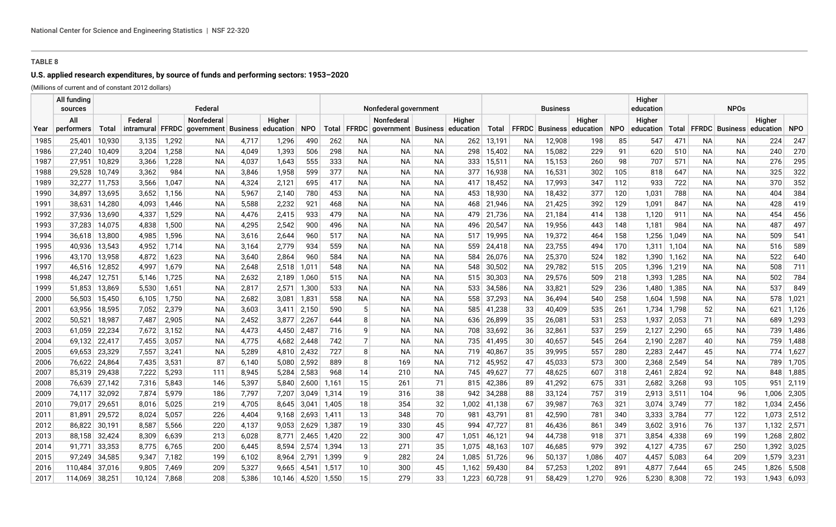# **U.S. applied research expenditures, by source of funds and performing sectors: 1953–2020**

(Millions of current and of constant 2012 dollars)  $\sqrt{a^2 + a^2 + a^2}$ 

|              | All funding<br>sources |                  |                |                | Federal                              |                |                      |             | Nonfederal government |                |                                                   |                 |        |                      |           | <b>Business</b>  |                                 |            | Higher<br>education | <b>NPOs</b>    |           |           |                                |                |
|--------------|------------------------|------------------|----------------|----------------|--------------------------------------|----------------|----------------------|-------------|-----------------------|----------------|---------------------------------------------------|-----------------|--------|----------------------|-----------|------------------|---------------------------------|------------|---------------------|----------------|-----------|-----------|--------------------------------|----------------|
|              | All                    |                  | Federal        |                | Nonfederal                           |                | Higher               |             |                       |                | Nonfederal                                        |                 | Higher |                      |           |                  | Higher                          |            | Higher              |                |           |           | Higher                         |                |
| Year         | performers             | Total            |                |                | intramural FFRDC government Business |                | education            | <b>NPO</b>  |                       |                | Total   FFRDC   government   Business   education |                 |        | Total                |           |                  | <b>FFRDC</b> Business education | <b>NPO</b> | education           |                |           |           | Total FFRDC Business education | <b>NPO</b>     |
| 1985         | 25,401                 | 10,930           | 3,135          | 1,292          | NА                                   | 4,717          | 1,296                | 490         | 262                   | NА             | NА                                                | NА              |        | 262 13,191           | ΝA        | 12,908           | 198                             | 85         | 547                 | 471            | NА        | NA        | 224                            | 247            |
| 1986         | 27,240                 | 10,409           | 3,204          | 1,258          | <b>NA</b>                            | 4,049          | 1,393                | 506         | 298                   | <b>NA</b>      | <b>NA</b>                                         | NА              |        | 298 15,402           | <b>NA</b> | 15,082           | 229                             | 91         | 620                 | 510            | <b>NA</b> | <b>NA</b> | 240                            | 270            |
| 1987         | 27,951                 | 10,829           | 3,366          | 1,228          | <b>NA</b>                            | 4,037          | 1,643                | 555         | 333                   | <b>NA</b>      | <b>NA</b>                                         | <b>NA</b>       | 333    | 15,511               | <b>NA</b> | 15,153           | 260                             | 98         | 707                 | 571            | <b>NA</b> | <b>NA</b> | 276                            | 295            |
| 1988         | 29,528                 | 10,749           | 3,362          | 984            | <b>NA</b>                            | 3,846          | 1,958                | 599         | 377                   | <b>NA</b>      | <b>NA</b>                                         | <b>NA</b>       | 377    | 16,938               | <b>NA</b> | 16,531           | 302                             | 105        | 818                 | 647            | <b>NA</b> | <b>NA</b> | 325                            | 322            |
| 1989         | 32,277                 | 11,753           | 3,566          | 1,047          | <b>NA</b>                            | 4,324          | 2,121                | 695         | 417                   | <b>NA</b>      | <b>NA</b>                                         | NA.             | 417    | 18,452               | <b>NA</b> | 17,993           | 347                             | 112        | 933                 | 722            | <b>NA</b> | NA        | 370                            | 352            |
| 1990         | 34,897                 | 13,695           | 3,652          | 1,156          | <b>NA</b>                            | 5,967          | 2,140                | 780         | 453                   | <b>NA</b>      | <b>NA</b>                                         | <b>NA</b>       | 453    | 18,930               | <b>NA</b> | 18,432           | 377                             | 120        | 1,031               | 788            | NА        | <b>NA</b> | 404                            | 384            |
| 1991         | 38,631                 | 14,280           | 4,093          | 1,446          | NА                                   | 5,588          | 2,232                | 921         | 468                   | <b>NA</b>      | ΝA                                                | NА              | 468    | 21,946               | <b>NA</b> | 21,425           | 392                             | 129        | 1,091               | 847            | NA        | ΝA        | 428                            | 419            |
| 1992         | 37,936                 | 13,690           | 4,337          | 1,529          | NА                                   | 4,476          | 2,415                | 933         | 479                   | <b>NA</b>      | NА                                                | NА              | 479    | 21,736               | ΝA        | 21,184           | 414                             | 138        | 1,120               | 911            | NА        | ΝA        | 454                            | 456            |
| 1993         | 37,283                 | 14,075           | 4,838          | 1,500          | <b>NA</b>                            | 4,295          | 2,542                | 900         | 496                   | <b>NA</b>      | ΝA                                                | NА              | 496    | 20,547               | ΝA        | 19,956           | 443                             | 148        | 1,181               | 984            | <b>NA</b> | <b>NA</b> | 487                            | 497            |
| 1994         | 36,618                 | 13,800           | 4,985          | 1,596          | <b>NA</b>                            | 3,616          | 2,644                | 960         | 517                   | <b>NA</b>      | <b>NA</b>                                         | NА              | 517    | 19,995               | ΝA        | 19,372           | 464                             | 158        | 1,256               | 1,049          | <b>NA</b> | <b>NA</b> | 509                            | 541            |
| 1995         | 40,936                 | 13,543           | 4,952          | 1,714          | <b>NA</b>                            | 3,164          | 2,779                | 934         | 559                   | <b>NA</b>      | <b>NA</b>                                         | NA.             | 559    | 24,418               | ΝA        | 23,755           | 494                             | 170        | 1,311               | 1,104          | <b>NA</b> | <b>NA</b> | 516                            | 589            |
| 1996         | 43,170                 | 13,958           | 4,872          | 1,623          | <b>NA</b>                            | 3,640          | 2,864                | 960         | 584                   | <b>NA</b>      | <b>NA</b>                                         | NA.             | 584    | 26,076               | ΝA        | 25,370           | 524                             | 182        | 1,390               | 1,162          | <b>NA</b> | <b>NA</b> | 522                            | 640            |
| 1997         | 46,516                 | 12,852           | 4,997          | 1,679          | <b>NA</b>                            | 2,648          | 2,518                | 1,011       | 548                   | <b>NA</b>      | <b>NA</b>                                         | <b>NA</b>       | 548    | 30,502               | <b>NA</b> | 29,782           | 515                             | 205        | 1,396               | 1,219          | <b>NA</b> | <b>NA</b> | 508                            | 711            |
| 1998         | 46,247                 | 12,751           | 5,146          | 1,725          | <b>NA</b>                            | 2,632          | 2,189                | 1,060       | 515                   | <b>NA</b>      | <b>NA</b>                                         | <b>NA</b>       | 515    | 30,303               | <b>NA</b> | 29,576           | 509                             | 218        | 1,393               | 1,285          | <b>NA</b> | <b>NA</b> | 502                            | 784            |
| 1999         | 51,853                 | 13,869           | 5,530          | 1,651          | <b>NA</b>                            | 2,817          | 2,571                | 1,300       | 533                   | <b>NA</b>      | NА                                                | <b>NA</b>       | 533    | 34,586               | NA        | 33,821           | 529                             | 236        | 1,480               | 1,385          | <b>NA</b> | NA        | 537                            | 849            |
| 2000         | 56,503                 | 15,450           | 6,105          | 1,750          | <b>NA</b>                            | 2,682          | 3,081                | 1,831       | 558                   | ΝA             | NА                                                | NА              |        | 558 37,293           | ΝA        | 36,494           | 540                             | 258        | 1,604               | 1,598          | NА        | NА        | 578                            | 1,021          |
| 2001         | 63,956                 | 18,595           | 7,052          | 2,379          | <b>NA</b>                            | 3,603          | $3,411$ 2,150        |             | 590                   | 5              | NА                                                | NА              |        | 585 41,238           | 33        | 40,409           | 535                             | 261        | 1,734               | 1,798          | 52        | NA        | 621                            | 1,126          |
| 2002         | 50,521                 | 18,987<br>22,234 | 7,487<br>7,672 | 2,905          | ΝA                                   | 2,452          | 3,877                | 2,267       | 644<br>716            | 8<br>9         | NА                                                | NА<br><b>NA</b> | 708    | 636 26,899           | 35        | 26,081           | 531                             | 253        | 1,937               | 2,053          | 71        | NА        | 689                            | 1,293          |
| 2003<br>2004 | 61,059<br>69,132       | 22,417           | 7,455          | 3,152<br>3,057 | ΝA<br>NА                             | 4,473<br>4,775 | 4,450<br>4,682 2,448 | 2,487       | 742                   | $\overline{7}$ | NА<br><b>NA</b>                                   | NА              |        | 33,692<br>735 41,495 | 36<br>30  | 32,861<br>40,657 | 537<br>545                      | 259<br>264 | 2,127<br>2,190      | 2,290<br>2,287 | 65<br>40  | NA<br>ΝA  | 739<br>759                     | 1,486<br>1,488 |
| 2005         | 69,653                 | 23,329           | 7,557          | 3,241          | NА                                   | 5,289          | 4,810 2,432          |             | 727                   | 8              | <b>NA</b>                                         | <b>NA</b>       | 719    | 40,867               | 35        | 39,995           | 557                             | 280        | 2,283               | 2,447          | 45        | <b>NA</b> | 774                            | 1,627          |
| 2006         | 76,622                 | 24,864           | 7.435          | 3,531          | 87                                   | 6,140          | 5,080                | 2,592       | 889                   | 8              | 169                                               | <b>NA</b>       |        | 712 45,952           | 47        | 45,033           | 573                             | 300        | 2,368               | 2,549          | 54        | <b>NA</b> | 789                            | 1,705          |
| 2007         | 85,319                 | 29,438           | 7,222          | 5,293          | 111                                  | 8,945          | 5,284                | 2,583       | 968                   | 14             | 210                                               | <b>NA</b>       | 745    | 49,627               | 77        | 48,625           | 607                             | 318        | 2,461               | 2,824          | 92        | <b>NA</b> |                                | 848 1,885      |
| 2008         | 76,639                 | 27,142           | 7,316          | 5,843          | 146                                  | 5,397          | 5.840                | 2,600       | 1.161                 | 15             | 261                                               | 71              |        | 815 42,386           | 89        | 41,292           | 675                             | 331        | 2,682               | 3,268          | 93        | 105       | 951                            | 2,119          |
| 2009         | 74,117                 | 32,092           | 7,874          | 5,979          | 186                                  | 7,797          | 7,207                | 3,049       | 1,314                 | 19             | 316                                               | 38              | 942    | 34,288               | 88        | 33,124           | 757                             | 319        | 2,913               | 3,511          | 104       | 96        | 1,006                          | 2,305          |
| 2010         | 79,017                 | 29,651           | 8,016          | 5,025          | 219                                  | 4,705          | 8,645                | 3,041       | 1,405                 | 18             | 354                                               | 32              |        | 1,002 41,138         | 67        | 39,987           | 763                             | 321        | 3,074               | 3,749          | 77        | 182       | 1,034                          | 2,456          |
| 2011         | 81,891                 | 29,572           | 8,024          | 5,057          | 226                                  | 4,404          | 9,168                | 2,693       | 1,411                 | 13             | 348                                               | 70              | 981    | 43,791               | 81        | 42,590           | 781                             | 340        | 3,333               | 3,784          | 77        | 122       |                                | $1,073$ 2,512  |
| 2012         | 86,822                 | 30,191           | 8,587          | 5,566          | 220                                  | 4,137          | 9,053                | 2,629       | 1,387                 | 19             | 330                                               | 45              | 994    | 47,727               | 81        | 46,436           | 861                             | 349        | 3,602               | 3,916          | 76        | 137       |                                | 1,132 2,571    |
| 2013         | 88,158                 | 32,424           | 8,309          | 6,639          | 213                                  | 6,028          | 8,771                | 2,465       | 1,420                 | 22             | 300                                               | 47              | 1,051  | 46,121               | 94        | 44,738           | 918                             | 371        | 3,854               | 4,338          | 69        | 199       |                                | 1,268 2,802    |
| 2014         | 91.771                 | 33,353           | 8.775          | 6,765          | 200                                  | 6,445          |                      | 8,594 2,574 | 1,394                 | 13             | 271                                               | 35              | 1.075  | 48,163               | 107       | 46,685           | 979                             | 392        | 4,127               | 4,735          | 67        | 250       |                                | 1,392 3,025    |
| 2015         | 97.249                 | 34,585           | 9.347          | 7,182          | 199                                  | 6,102          | 8,964 2,791          |             | 1,399                 | 9              | 282                                               | 24              |        | 1,085 51,726         | 96        | 50,137           | 1,086                           | 407        | 4,457               | 5,083          | 64        | 209       |                                | 1,579 3,231    |
| 2016         | 110.484                | 37,016           | 9.805          | 7,469          | 209                                  | 5,327          | 9.665                | 4.541       | 1,517                 | 10             | 300                                               | 45              | 1.162  | 59,430               | 84        | 57,253           | 1,202                           | 891        | 4.877               | 7,644          | 65        | 245       |                                | 1,826 5,508    |
| 2017         | 114,069                | 38,251           | 10,124         | 7,868          | 208                                  | 5,386          | 10,146 4,520         |             | 1,550                 | 15             | 279                                               | 33              | 1,223  | 60,728               | 91        | 58.429           | 1,270                           | 926        | 5.230               | 8,308          | 72        | 193       |                                | $1,943$ 6,093  |
|              |                        |                  |                |                |                                      |                |                      |             |                       |                |                                                   |                 |        |                      |           |                  |                                 |            |                     |                |           |           |                                |                |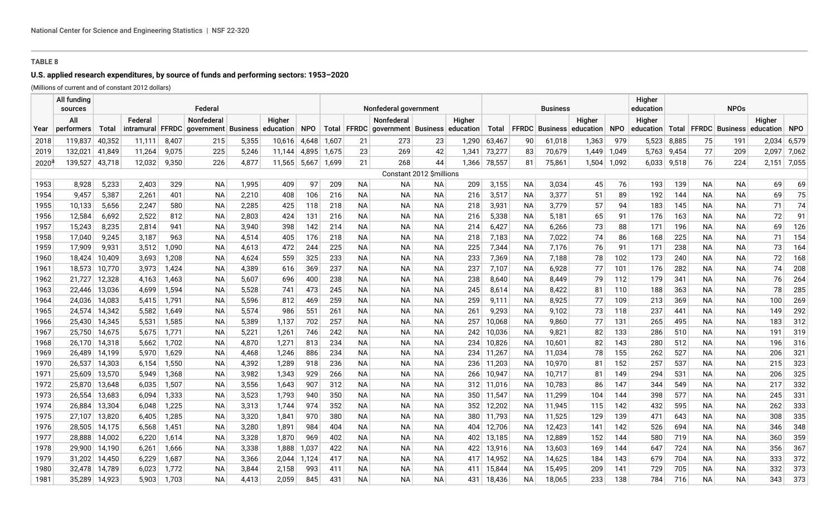# **U.S. applied research expenditures, by source of funds and performing sectors: 1953–2020**

(Millions of current and of constant 2012 dollars)

|                | All funding<br>sources |               |                  |       | Federal             |       |           |            | Nonfederal government |           |                                                   |                          |        |              |           | <b>Business</b>       |           |            | Higher<br>education | <b>NPOs</b> |           |                          |           |       |
|----------------|------------------------|---------------|------------------|-------|---------------------|-------|-----------|------------|-----------------------|-----------|---------------------------------------------------|--------------------------|--------|--------------|-----------|-----------------------|-----------|------------|---------------------|-------------|-----------|--------------------------|-----------|-------|
|                | All                    |               | Federal          |       | <b>Nonfederal</b>   |       | Higher    |            |                       |           | Nonfederal                                        |                          | Higher |              |           |                       | Higher    |            | Higher              |             | Higher    |                          |           |       |
| Year           | performers             | Total         | intramural FFRDC |       | government Business |       | education | <b>NPO</b> |                       |           | Total   FFRDC   government   Business   education |                          |        | Total        |           | <b>FFRDC</b> Business | education | <b>NPO</b> | education           |             |           | Total   FFRDC   Business | education | NPO   |
| 2018           | 119,837                | 40,352        | 11.111           | 8,407 | 215                 | 5,355 | 10,616    | 4,648      | 1,607                 | 21        | 273                                               | 23                       | 1,290  | 63,467       | 90        | 61,018                | 1,363     | 979        | 5,523               | 8,885       | 75        | 191                      | 2,034     | 6,579 |
| 2019           | 132,021                | 41,849        | 11,264           | 9,075 | 225                 | 5,246 | 11,144    | 4,895      | 1,675                 | 23        | 269                                               | 42                       | 1,341  | 73,277       | 83        | 70,679                | 1,449     | 1,049      | 5,763               | 9,454       | 77        | 209                      | 2,097     | 7,062 |
| $2020^{\circ}$ | 139,527                | 43,718        | 12,032           | 9,350 | 226                 | 4,877 | 11,565    | 5,667      | 1,699                 | 21        | 268                                               | 44                       | 1,366  | 78,557       | 81        | 75,861                | 1,504     | 1,092      | 6,033               | 9,518       | 76        | 224                      | 2,151     | 7,055 |
|                |                        |               |                  |       |                     |       |           |            |                       |           |                                                   | Constant 2012 \$millions |        |              |           |                       |           |            |                     |             |           |                          |           |       |
| 1953           | 8,928                  | 5,233         | 2,403            | 329   | <b>NA</b>           | 1,995 | 409       | 97         | 209                   | <b>NA</b> | ΝA                                                | ΝA                       | 209    | 3,155        | <b>NA</b> | 3,034                 | 45        | 76         | 193                 | 139         | <b>NA</b> | <b>NA</b>                | 69        | 69    |
| 1954           | 9,457                  | 5,387         | 2,261            | 401   | <b>NA</b>           | 2,210 | 408       | 106        | 216                   | <b>NA</b> | <b>NA</b>                                         | <b>NA</b>                | 216    | 3,517        | <b>NA</b> | 3,377                 | 51        | 89         | 192                 | 144         | <b>NA</b> | <b>NA</b>                | 69        | 75    |
| 1955           | 10,133                 | 5,656         | 2,247            | 580   | <b>NA</b>           | 2,285 | 425       | 118        | 218                   | <b>NA</b> | <b>NA</b>                                         | <b>NA</b>                | 218    | 3,931        | <b>NA</b> | 3,779                 | 57        | 94         | 183                 | 145         | <b>NA</b> | <b>NA</b>                | 71        | 74    |
| 1956           | 12,584                 | 6,692         | 2,522            | 812   | <b>NA</b>           | 2,803 | 424       | 131        | 216                   | <b>NA</b> | NА                                                | <b>NA</b>                | 216    | 5,338        | NА        | 5,181                 | 65        | 91         | 176                 | 163         | <b>NA</b> | <b>NA</b>                | 72        | 91    |
| 1957           | 15,243                 | 8,235         | 2,814            | 941   | <b>NA</b>           | 3,940 | 398       | 142        | 214                   | <b>NA</b> | <b>NA</b>                                         | <b>NA</b>                | 214    | 6,427        | <b>NA</b> | 6,266                 | 73        | 88         | 171                 | 196         | <b>NA</b> | <b>NA</b>                | 69        | 126   |
| 1958           | 17,040                 | 9,245         | 3,187            | 963   | <b>NA</b>           | 4,514 | 405       | 176        | 218                   | <b>NA</b> | NА                                                | <b>NA</b>                | 218    | 7,183        | <b>NA</b> | 7,022                 | 74        | 86         | 168                 | 225         | <b>NA</b> | <b>NA</b>                | 71        | 154   |
| 1959           | 17,909                 | 9,931         | 3,512            | 1,090 | <b>NA</b>           | 4,613 | 472       | 244        | 225                   | <b>NA</b> | <b>NA</b>                                         | <b>NA</b>                | 225    | 7,344        | <b>NA</b> | 7,176                 | 76        | 91         | 171                 | 238         | <b>NA</b> | <b>NA</b>                | 73        | 164   |
| 1960           | 18,424                 | 10,409        | 3,693            | 1,208 | <b>NA</b>           | 4,624 | 559       | 325        | 233                   | <b>NA</b> | <b>NA</b>                                         | <b>NA</b>                | 233    | 7,369        | <b>NA</b> | 7,188                 | 78        | 102        | 173                 | 240         | <b>NA</b> | <b>NA</b>                | 72        | 168   |
| 1961           | 18,573                 | 10,770        | 3,973            | 1,424 | ΝA                  | 4,389 | 616       | 369        | 237                   | <b>NA</b> | NА                                                | <b>NA</b>                | 237    | 7,107        | NА        | 6,928                 | 77        | 101        | 176                 | 282         | <b>NA</b> | <b>NA</b>                | 74        | 208   |
| 1962           | 21,727                 | 12,328        | 4,163            | 1,463 | <b>NA</b>           | 5,607 | 696       | 400        | 238                   | <b>NA</b> | NА                                                | <b>NA</b>                | 238    | 8,640        | <b>NA</b> | 8,449                 | 79        | 112        | 179                 | 341         | <b>NA</b> | <b>NA</b>                | 76        | 264   |
| 1963           | 22,446                 | 13,036        | 4,699            | 1,594 | <b>NA</b>           | 5,528 | 741       | 473        | 245                   | <b>NA</b> | <b>NA</b>                                         | <b>NA</b>                | 245    | 8,614        | <b>NA</b> | 8,422                 | 81        | 110        | 188                 | 363         | <b>NA</b> | <b>NA</b>                | 78        | 285   |
| 1964           | 24,036                 | 14,083        | 5,415            | 1,791 | <b>NA</b>           | 5,596 | 812       | 469        | 259                   | <b>NA</b> | <b>NA</b>                                         | <b>NA</b>                | 259    | 9,111        | <b>NA</b> | 8,925                 | 77        | 109        | 213                 | 369         | <b>NA</b> | <b>NA</b>                | 100       | 269   |
| 1965           | 24,574 14,342          |               | 5,582            | 1,649 | <b>NA</b>           | 5,574 | 986       | 551        | 261                   | <b>NA</b> | <b>NA</b>                                         | <b>NA</b>                | 261    | 9,293        | <b>NA</b> | 9,102                 | 73        | 118        | 237                 | 441         | <b>NA</b> | <b>NA</b>                | 149       | 292   |
| 1966           | 25,430 14,345          |               | 5,531            | 1,585 | <b>NA</b>           | 5,389 | 1,137     | 702        | 257                   | <b>NA</b> | <b>NA</b>                                         | <b>NA</b>                | 257    | 10,068       | <b>NA</b> | 9,860                 | 77        | 131        | 265                 | 495         | <b>NA</b> | <b>NA</b>                | 183       | 312   |
| 1967           | 25,750 14,675          |               | 5,675            | 1,771 | <b>NA</b>           | 5,221 | 1,261     | 746        | 242                   | <b>NA</b> | <b>NA</b>                                         | <b>NA</b>                | 242    | 10,036       | <b>NA</b> | 9,821                 | 82        | 133        | 286                 | 510         | <b>NA</b> | <b>NA</b>                | 191       | 319   |
| 1968           |                        | 26,170 14,318 | 5,662            | 1,702 | <b>NA</b>           | 4,870 | 1,271     | 813        | 234                   | <b>NA</b> | <b>NA</b>                                         | <b>NA</b>                | 234    | 10,826       | <b>NA</b> | 10,601                | 82        | 143        | 280                 | 512         | <b>NA</b> | <b>NA</b>                | 196       | 316   |
| 1969           | 26,489                 | 14,199        | 5,970            | 1,629 | <b>NA</b>           | 4,468 | 1,246     | 886        | 234                   | <b>NA</b> | <b>NA</b>                                         | <b>NA</b>                |        | 234 11,267   | <b>NA</b> | 11,034                | 78        | 155        | 262                 | 527         | <b>NA</b> | <b>NA</b>                | 206       | 321   |
| 1970           | 26,537                 | 14,303        | 6,154            | 1,550 | <b>NA</b>           | 4,392 | 1,289     | 918        | 236                   | <b>NA</b> | <b>NA</b>                                         | <b>NA</b>                |        | 236 11,203   | <b>NA</b> | 10,970                | 81        | 152        | 257                 | 537         | <b>NA</b> | <b>NA</b>                | 215       | 323   |
| 1971           | 25,609                 | 13,570        | 5,949            | 1,368 | <b>NA</b>           | 3,982 | 1,343     | 929        | 266                   | <b>NA</b> | <b>NA</b>                                         | <b>NA</b>                | 266    | 10,947       | NA        | 10,717                | 81        | 149        | 294                 | 531         | <b>NA</b> | <b>NA</b>                | 206       | 325   |
| 1972           |                        | 25,870 13,648 | 6,035            | 1,507 | ΝA                  | 3,556 | 1,643     | 907        | 312                   | <b>NA</b> | <b>NA</b>                                         | NА                       |        | $312$ 11,016 | NА        | 10,783                | 86        | 147        | 344                 | 549         | <b>NA</b> | <b>NA</b>                | 217       | 332   |
| 1973           | 26,554                 | 13,683        | 6,094            | 1,333 | <b>NA</b>           | 3,523 | 1,793     | 940        | 350                   | <b>NA</b> | <b>NA</b>                                         | <b>NA</b>                |        | 350 11,547   | <b>NA</b> | 11,299                | 104       | 144        | 398                 | 577         | <b>NA</b> | <b>NA</b>                | 245       | 331   |
| 1974           | 26,884                 | 13,304        | 6,048            | 1,225 | ΝA                  | 3,313 | 1,744     | 974        | 352                   | <b>NA</b> | <b>NA</b>                                         | ΝA                       | 352    | 12,202       | <b>NA</b> | 11,945                | 115       | 142        | 432                 | 595         | <b>NA</b> | <b>NA</b>                | 262       | 333   |
| 1975           | 27,107                 | 13,820        | 6,405            | 1,285 | <b>NA</b>           | 3,320 | 1,841     | 970        | 380                   | <b>NA</b> | <b>NA</b>                                         | <b>NA</b>                |        | 380 11,793   | <b>NA</b> | 11,525                | 129       | 139        | 471                 | 643         | <b>NA</b> | <b>NA</b>                | 308       | 335   |
| 1976           | 28,505                 | 14,175        | 6,568            | 1,451 | ΝA                  | 3,280 | 1,891     | 984        | 404                   | <b>NA</b> | <b>NA</b>                                         | <b>NA</b>                |        | 404 12,706   | <b>NA</b> | 12,423                | 141       | 142        | 526                 | 694         | <b>NA</b> | <b>NA</b>                | 346       | 348   |
| 1977           | 28,888                 | 14,002        | 6,220            | 1,614 | ΝA                  | 3,328 | 1,870     | 969        | 402                   | <b>NA</b> | ΝA                                                | ΝA                       | 402    | 13,185       | NА        | 12,889                | 152       | 144        | 580                 | 719         | NА        | ΝA                       | 360       | 359   |
| 1978           | 29,900                 | 14,190        | 6,261            | 1,666 | ΝA                  | 3,338 | 1,888     | ,037       | 422                   | <b>NA</b> | ΝA                                                | <b>NA</b>                | 422    | 13,916       | NА        | 13,603                | 169       | 144        | 647                 | 724         | NА        | ΝA                       | 356       | 367   |
| 1979           | 31,202                 | 14,450        | 6,229            | 1,687 | ΝA                  | 3,366 | 2,044     | 1,124      | 417                   | <b>NA</b> | <b>NA</b>                                         | <b>NA</b>                | 417    | 14,952       | <b>NA</b> | 14,625                | 184       | 143        | 679                 | 704         | <b>NA</b> | <b>NA</b>                | 333       | 372   |
| 1980           | 32,478                 | 14,789        | 6,023            | 1,772 | <b>NA</b>           | 3,844 | 2,158     | 993        | 411                   | <b>NA</b> | <b>NA</b>                                         | <b>NA</b>                | 411    | 15,844       | <b>NA</b> | 15,495                | 209       | 141        | 729                 | 705         | <b>NA</b> | <b>NA</b>                | 332       | 373   |
| 1981           | 35,289                 | 14,923        | 5,903            | 1.703 | <b>NA</b>           | 4.413 | 2,059     | 845        | 431                   | <b>NA</b> | <b>NA</b>                                         | <b>NA</b>                | 431    | 18,436       | <b>NA</b> | 18,065                | 233       | 138        | 784                 | 716         | <b>NA</b> | <b>NA</b>                | 343       | 373   |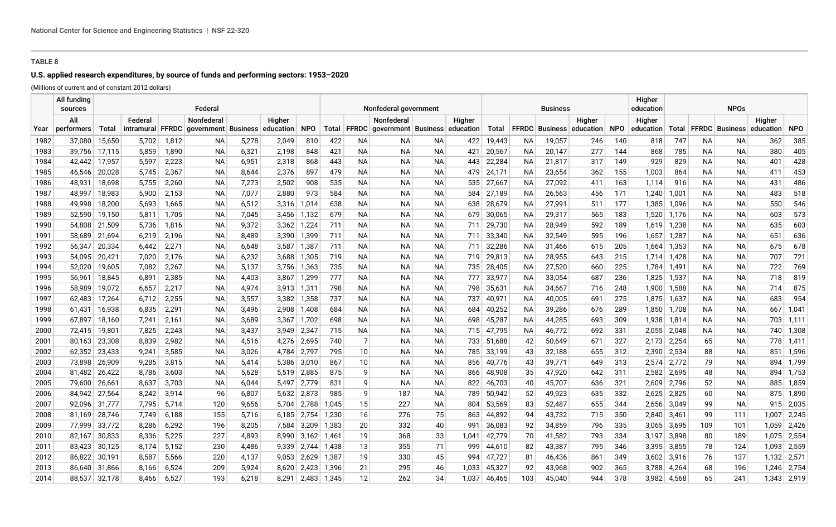# **U.S. applied research expenditures, by source of funds and performing sectors: 1953–2020**

(Millions of current and of constant 2012 dollars)  $\sqrt{a^2 + a^2 + a^2}$ 

|      | All funding<br>sources |        |         |       | Federal                              |       |               |             | Nonfederal government |                 |                                                   |           |        |            |           | <b>Business</b> |                                 |            | Higher<br>education | <b>NPOs</b> |           |           |                                |             |  |
|------|------------------------|--------|---------|-------|--------------------------------------|-------|---------------|-------------|-----------------------|-----------------|---------------------------------------------------|-----------|--------|------------|-----------|-----------------|---------------------------------|------------|---------------------|-------------|-----------|-----------|--------------------------------|-------------|--|
|      | All                    |        | Federal |       | Nonfederal                           |       | Higher        |             |                       |                 | Nonfederal                                        |           | Higher |            |           |                 | Higher                          |            | Higher              |             |           |           | Higher                         |             |  |
| Year | performers             | Total  |         |       | intramural FFRDC government Business |       | education     | <b>NPO</b>  |                       |                 | Total   FFRDC   government   Business   education |           |        | Total      |           |                 | <b>FFRDC</b> Business education | <b>NPO</b> | education           |             |           |           | Total FFRDC Business education | <b>NPO</b>  |  |
| 1982 | 37,080                 | 15,650 | 5,702   | 1,812 | NА                                   | 5,278 | 2,049         | 810         | 422                   | ΝA              | NА                                                | NА        | 422    | 19,443     | ΝA        | 19,057          | 246                             | 140        | 818                 | 747         | NА        | NA        | 362                            | 385         |  |
| 1983 | 39,756                 | 17,115 | 5,859   | 1,890 | <b>NA</b>                            | 6,321 | 2,198         | 848         | 421                   | <b>NA</b>       | <b>NA</b>                                         | NА        | 421    | 20,567     | <b>NA</b> | 20,147          | 277                             | 144        | 868                 | 785         | <b>NA</b> | <b>NA</b> | 380                            | 405         |  |
| 1984 | 42,442                 | 17,957 | 5,597   | 2,223 | <b>NA</b>                            | 6,951 | 2,318         | 868         | 443                   | <b>NA</b>       | <b>NA</b>                                         | <b>NA</b> | 443    | 22,284     | <b>NA</b> | 21,817          | 317                             | 149        | 929                 | 829         | <b>NA</b> | <b>NA</b> | 401                            | 428         |  |
| 1985 | 46,546                 | 20,028 | 5,745   | 2,367 | <b>NA</b>                            | 8,644 | 2,376         | 897         | 479                   | <b>NA</b>       | <b>NA</b>                                         | <b>NA</b> |        | 479 24,171 | <b>NA</b> | 23,654          | 362                             | 155        | 1,003               | 864         | <b>NA</b> | <b>NA</b> | 411                            | 453         |  |
| 1986 | 48,931                 | 18,698 | 5,755   | 2,260 | <b>NA</b>                            | 7,273 | 2,502         | 908         | 535                   | <b>NA</b>       | <b>NA</b>                                         | NA.       |        | 535 27,667 | ΝA        | 27,092          | 411                             | 163        | 1,114               | 916         | <b>NA</b> | NA        | 431                            | 486         |  |
| 1987 | 48,997                 | 18,983 | 5,900   | 2,153 | <b>NA</b>                            | 7,077 | 2,880         | 973         | 584                   | ΝA              | <b>NA</b>                                         | <b>NA</b> | 584    | 27,189     | <b>NA</b> | 26,563          | 456                             | 171        | 1,240               | 1,001       | <b>NA</b> | <b>NA</b> | 483                            | 518         |  |
| 1988 | 49,998                 | 18,200 | 5,693   | 1,665 | NА                                   | 6,512 | 3,316         | 1,014       | 638                   | ΝA              | ΝA                                                | NА        | 638    | 28,679     | <b>NA</b> | 27,991          | 511                             | 177        | 1,385               | 1,096       | <b>NA</b> | ΝA        | 550                            | 546         |  |
| 1989 | 52,590                 | 19,150 | 5,811   | 1,705 | NА                                   | 7,045 | 3,456         | 1,132       | 679                   | <b>NA</b>       | NА                                                | NА        | 679    | 30,065     | ΝA        | 29,317          | 565                             | 183        | 1,520               | 1,176       | <b>NA</b> | ΝA        | 603                            | 573         |  |
| 1990 | 54,808                 | 21,509 | 5,736   | 1,816 | <b>NA</b>                            | 9,372 | 3,362         | 1,224       | 711                   | <b>NA</b>       | ΝA                                                | NА        | 711    | 29,730     | ΝA        | 28,949          | 592                             | 189        | 1,619               | 1,238       | <b>NA</b> | <b>NA</b> | 635                            | 603         |  |
| 1991 | 58,689                 | 21,694 | 6,219   | 2,196 | <b>NA</b>                            | 8,489 | 3,390         | 1,399       | 711                   | <b>NA</b>       | ΝA                                                | NА        | 711    | 33,340     | <b>NA</b> | 32,549          | 595                             | 196        | 1,657               | 1,287       | <b>NA</b> | ΝA        | 651                            | 636         |  |
| 1992 | 56,347                 | 20,334 | 6,442   | 2,271 | <b>NA</b>                            | 6,648 | 3,587         | 1,387       | 711                   | <b>NA</b>       | NА                                                | NA.       | 711    | 32,286     | ΝA        | 31,466          | 615                             | 205        | 1,664               | 1,353       | <b>NA</b> | <b>NA</b> | 675                            | 678         |  |
| 1993 | 54,095                 | 20,421 | 7,020   | 2,176 | <b>NA</b>                            | 6,232 | 3,688         | 1,305       | 719                   | <b>NA</b>       | <b>NA</b>                                         | NA.       | 719    | 29,813     | <b>NA</b> | 28,955          | 643                             | 215        | 1,714               | 1,428       | <b>NA</b> | <b>NA</b> | 707                            | 721         |  |
| 1994 | 52,020                 | 19,605 | 7,082   | 2,267 | <b>NA</b>                            | 5,137 | 3,756         | 1,363       | 735                   | <b>NA</b>       | <b>NA</b>                                         | NA.       | 735    | 28,405     | <b>NA</b> | 27,520          | 660                             | 225        | 1,784               | 1,491       | <b>NA</b> | <b>NA</b> | 722                            | 769         |  |
| 1995 | 56,961                 | 18,845 | 6,891   | 2,385 | <b>NA</b>                            | 4,403 | 3,867         | 1,299       | 777                   | <b>NA</b>       | <b>NA</b>                                         | <b>NA</b> | 777    | 33,977     | <b>NA</b> | 33,054          | 687                             | 236        | 1,825               | 1,537       | <b>NA</b> | <b>NA</b> | 718                            | 819         |  |
| 1996 | 58,989                 | 19,072 | 6,657   | 2,217 | <b>NA</b>                            | 4,974 | $3,913$ 1,311 |             | 798                   | <b>NA</b>       | NА                                                | <b>NA</b> | 798    | 35,631     | NA        | 34,667          | 716                             | 248        | 1,900               | 1,588       | NA        | NA        | 714                            | 875         |  |
| 1997 | 62,483                 | 17,264 | 6,712   | 2,255 | <b>NA</b>                            | 3,557 | 3,382         | 1,358       | 737                   | ΝA              | NА                                                | NА        | 737    | 40,971     | ΝA        | 40,005          | 691                             | 275        | 1,875               | 1,637       | NА        | NА        | 683                            | 954         |  |
| 1998 | 61,431                 | 16,938 | 6,835   | 2,291 | <b>NA</b>                            | 3,496 | 2,908         | 1,408       | 684                   | ΝA              | NА                                                | NА        | 684    | 40,252     | ΝA        | 39,286          | 676                             | 289        | 1,850               | 1,708       | <b>NA</b> | NА        | 667                            | 1,041       |  |
| 1999 | 67,897                 | 18,160 | 7,241   | 2,161 | ΝA                                   | 3,689 | 3,367         | 1,702       | 698                   | <b>NA</b>       | NА                                                | NА        | 698    | 45,287     | ΝA        | 44,285          | 693                             | 309        | 1,938               | 1,814       | NА        | NА        | 703                            | 1,111       |  |
| 2000 | 72,415                 | 19,801 | 7,825   | 2,243 | NA                                   | 3,437 | 3,949         | 2,347       | 715                   | NА              | NА                                                | <b>NA</b> |        | 715 47,795 | ΝA        | 46,772          | 692                             | 331        | 2,055               | 2,048       | NА        | NА        | 740                            | 1,308       |  |
| 2001 | 80,163                 | 23,308 | 8,839   | 2,982 | NA                                   | 4,516 |               | 4,276 2,695 | 740                   | $\overline{7}$  | NА                                                | NА        | 733    | 51,688     | 42        | 50,649          | 671                             | 327        | 2,173               | 2,254       | 65        | ΝA        | 778                            | 1,411       |  |
| 2002 | 62,352                 | 23,433 | 9,241   | 3,585 | <b>NA</b>                            | 3,026 | 4,784         | 2,797       | 795                   | 10 <sup>1</sup> | <b>NA</b>                                         | <b>NA</b> | 785    | 33,199     | 43        | 32,188          | 655                             | 312        | 2,390               | 2,534       | 88        | <b>NA</b> | 851                            | 1,596       |  |
| 2003 | 73,898                 | 26,909 | 9,285   | 3,815 | <b>NA</b>                            | 5,414 |               | 5,386 3,010 | 867                   | 10              | <b>NA</b>                                         | <b>NA</b> | 856    | 40,776     | 43        | 39,771          | 649                             | 313        | 2,574               | 2,772       | 79        | <b>NA</b> | 894                            | 1,799       |  |
| 2004 | 81,482                 | 26,422 | 8,786   | 3,603 | <b>NA</b>                            | 5,628 |               | 5,519 2,885 | 875                   | 9               | <b>NA</b>                                         | <b>NA</b> | 866    | 48,908     | 35        | 47,920          | 642                             | 311        | 2,582               | 2,695       | 48        | <b>NA</b> | 894                            | 1,753       |  |
| 2005 | 79,600                 | 26,661 | 8,637   | 3,703 | <b>NA</b>                            | 6,044 | 5,497         | 2,779       | 831                   | 9               | <b>NA</b>                                         | <b>NA</b> | 822    | 46,703     | 40        | 45,707          | 636                             | 321        | 2,609               | 2,796       | 52        | <b>NA</b> | 885                            | 1,859       |  |
| 2006 | 84,942                 | 27,564 | 8,242   | 3,914 | 96                                   | 6,807 | 5,632 2,873   |             | 985                   | 9               | 187                                               | NА        | 789    | 50,942     | 52        | 49,923          | 635                             | 332        | 2,625               | 2,825       | 60        | ΝA        | 875                            | 1,890       |  |
| 2007 | 92,096 31,777          |        | 7,795   | 5,714 | 120                                  | 9,656 |               | 5,704 2,788 | 1,045                 | 15              | 227                                               | NА        | 804    | 53,569     | 83        | 52,487          | 655                             | 344        | 2,656               | 3,049       | 99        | <b>NA</b> | 915                            | 2,035       |  |
| 2008 | 81,169                 | 28,746 | 7,749   | 6,188 | 155                                  | 5,716 | 6,185         | 2,754       | 1,230                 | 16              | 276                                               | 75        | 863    | 44,892     | 94        | 43,732          | 715                             | 350        | 2,840               | 3,461       | 99        | 111       | 1,007                          | 2,245       |  |
| 2009 | 77,999                 | 33,772 | 8,286   | 6,292 | 196                                  | 8,205 | 7,584         | 3,209       | 1,383                 | 20              | 332                                               | 40        | 991    | 36,083     | 92        | 34,859          | 796                             | 335        | 3,065               | 3,695       | 109       | 101       | 1,059                          | 2,426       |  |
| 2010 | 82,167                 | 30,833 | 8,336   | 5,225 | 227                                  | 4,893 |               | 8,990 3.162 | 1,461                 | 19              | 368                                               | 33        | 1,041  | 42,779     | 70        | 41,582          | 793                             | 334        | 3,197               | 3,898       | 80        | 189       |                                | 1,075 2,554 |  |
| 2011 | 83,423                 | 30,125 | 8.174   | 5,152 | 230                                  | 4,486 | 9,339         | 2,744       | 1,438                 | 13              | 355                                               | 71        | 999    | 44,610     | 82        | 43,387          | 795                             | 346        | 3,395               | 3,855       | 78        | 124       |                                | 1,093 2,559 |  |
| 2012 | 86.822                 | 30,191 | 8,587   | 5,566 | 220                                  | 4,137 |               | 9,053 2,629 | 1,387                 | 19              | 330                                               | 45        |        | 994 47,727 | 81        | 46,436          | 861                             | 349        | 3,602               | 3,916       | 76        | 137       |                                | 1,132 2,571 |  |
| 2013 | 86.640                 | 31,866 | 8,166   | 6,524 | 209                                  | 5,924 | 8.620         | 2.423       | 1,396                 | 21              | 295                                               | 46        | 1.033  | 45,327     | 92        | 43,968          | 902                             | 365        | 3.788               | 4,264       | 68        | 196       |                                | 1,246 2,754 |  |
| 2014 | 88,537                 | 32,178 | 8,466   | 6,527 | 193                                  | 6,218 | 8.291         | 2,483       | 1,345                 | 12              | 262                                               | 34        | 1.037  | 46,465     | 103       | 45.040          | 944                             | 378        | 3,982               | 4,568       | 65        | 241       |                                | 1,343 2,919 |  |